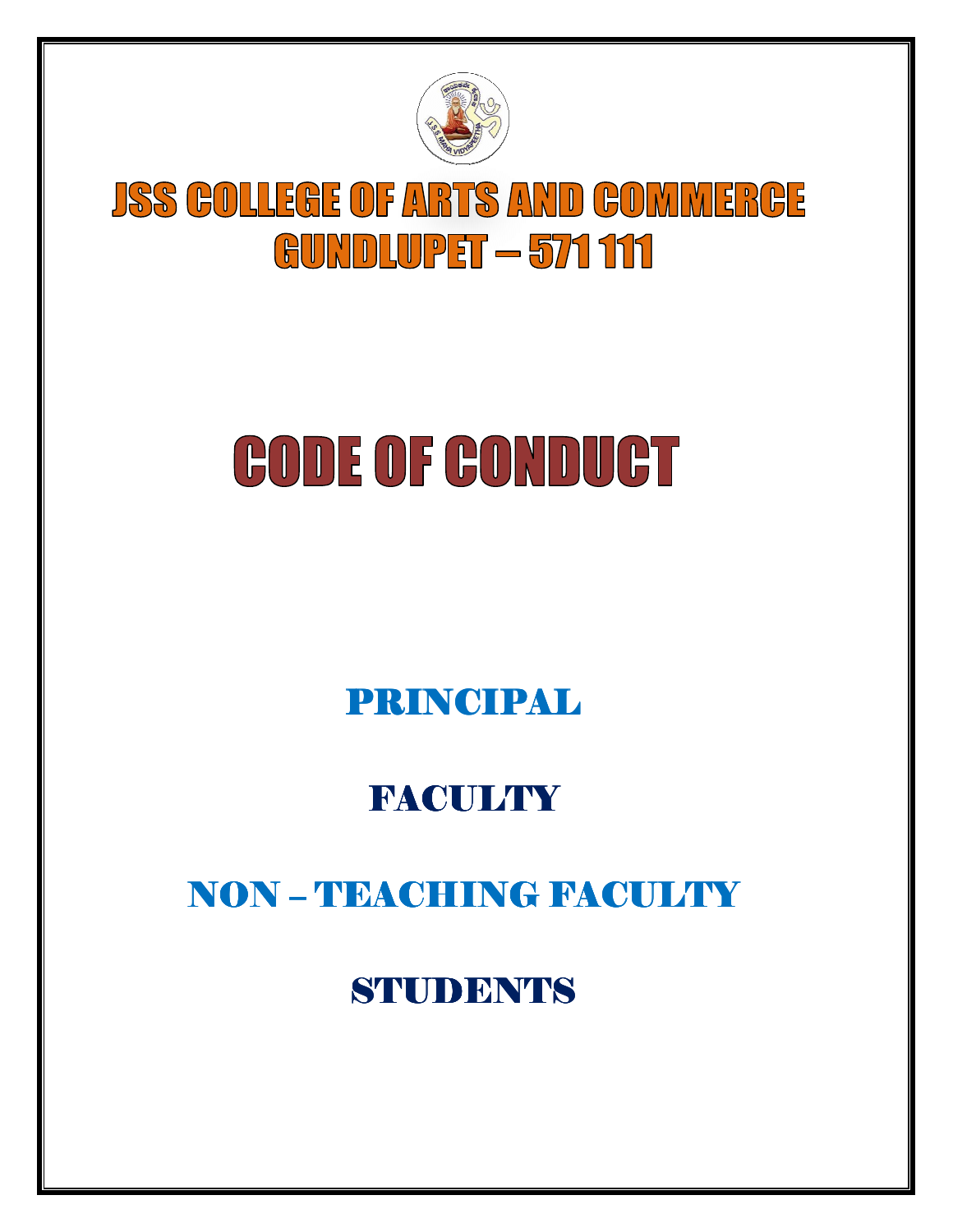

# **JSS GOLLEGE OF ARTS AND GOMMERGE GUNDLUPET - 571 111**

# **CODE OF CONDUCT**

## PRINCIPAL PRINCIPAL

### **FACULTY**

## NON - TEACHING FACULTY

### **STUDENTS**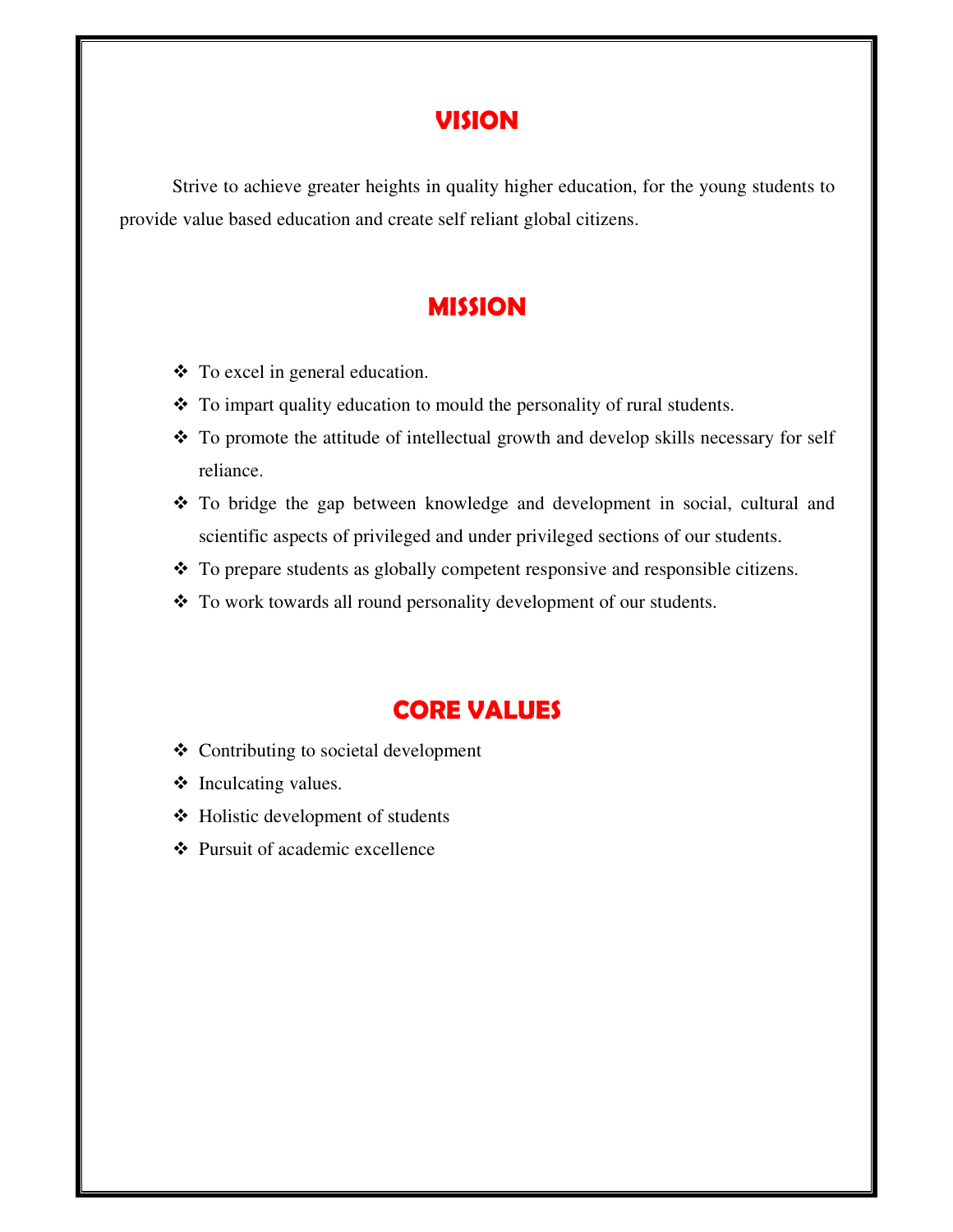#### **VISION**

Strive to achieve greater heights in quality higher education, for the young students to provide value based education and create self reliant global citizens.

#### **MISSION**

- To excel in general education.
- To impart quality education to mould the personality of rural students.
- \* To promote the attitude of intellectual growth and develop skills necessary for self reliance.
- To bridge the gap between knowledge and development in social, cultural and scientific aspects of privileged and under privileged sections of our students.
- To prepare students as globally competent responsive and responsible citizens.
- \* To work towards all round personality development of our students.

#### **CORE VALUES**

- ❖ Contributing to societal development
- ❖ Inculcating values.
- Holistic development of students
- Pursuit of academic excellence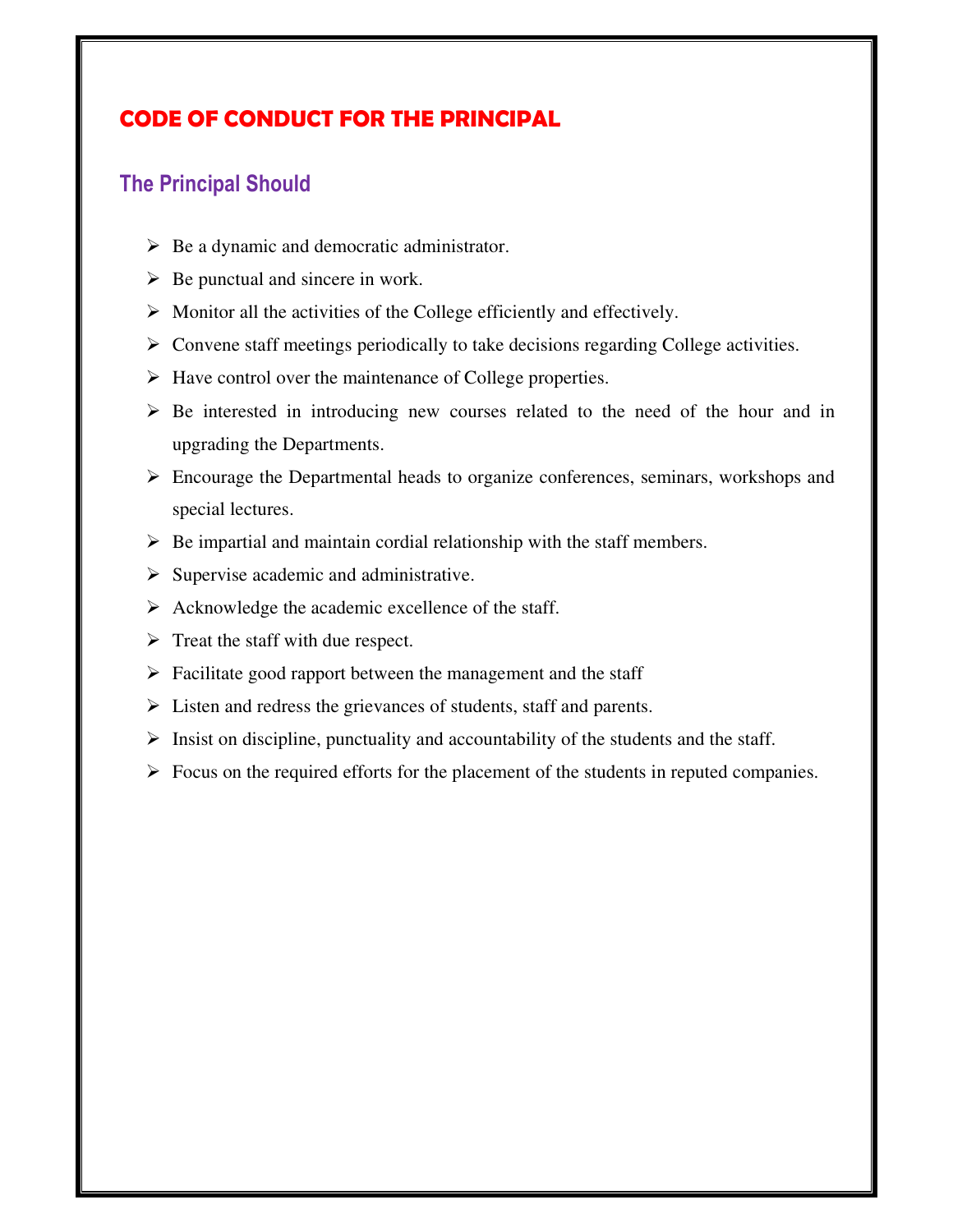#### **CODE OF CONDUCT FOR THE PRINCIPAL**

#### **The Principal Should**

- ▶ Be a dynamic and democratic administrator.
- $\triangleright$  Be punctual and sincere in work.
- > Monitor all the activities of the College efficiently and effectively.
- > Convene staff meetings periodically to take decisions regarding College activities.
- > Have control over the maintenance of College properties.
- > Be interested in introducing new courses related to the need of the hour and in upgrading the Departments.
- Encourage the Departmental heads to organize conferences, seminars, workshops and special lectures.
- $\triangleright$  Be impartial and maintain cordial relationship with the staff members.
- > Supervise academic and administrative.
- > Acknowledge the academic excellence of the staff.
- $\triangleright$  Treat the staff with due respect.
- > Facilitate good rapport between the management and the staff
- > Listen and redress the grievances of students, staff and parents.
- $\triangleright$  Insist on discipline, punctuality and accountability of the students and the staff.
- $\triangleright$  Focus on the required efforts for the placement of the students in reputed companies.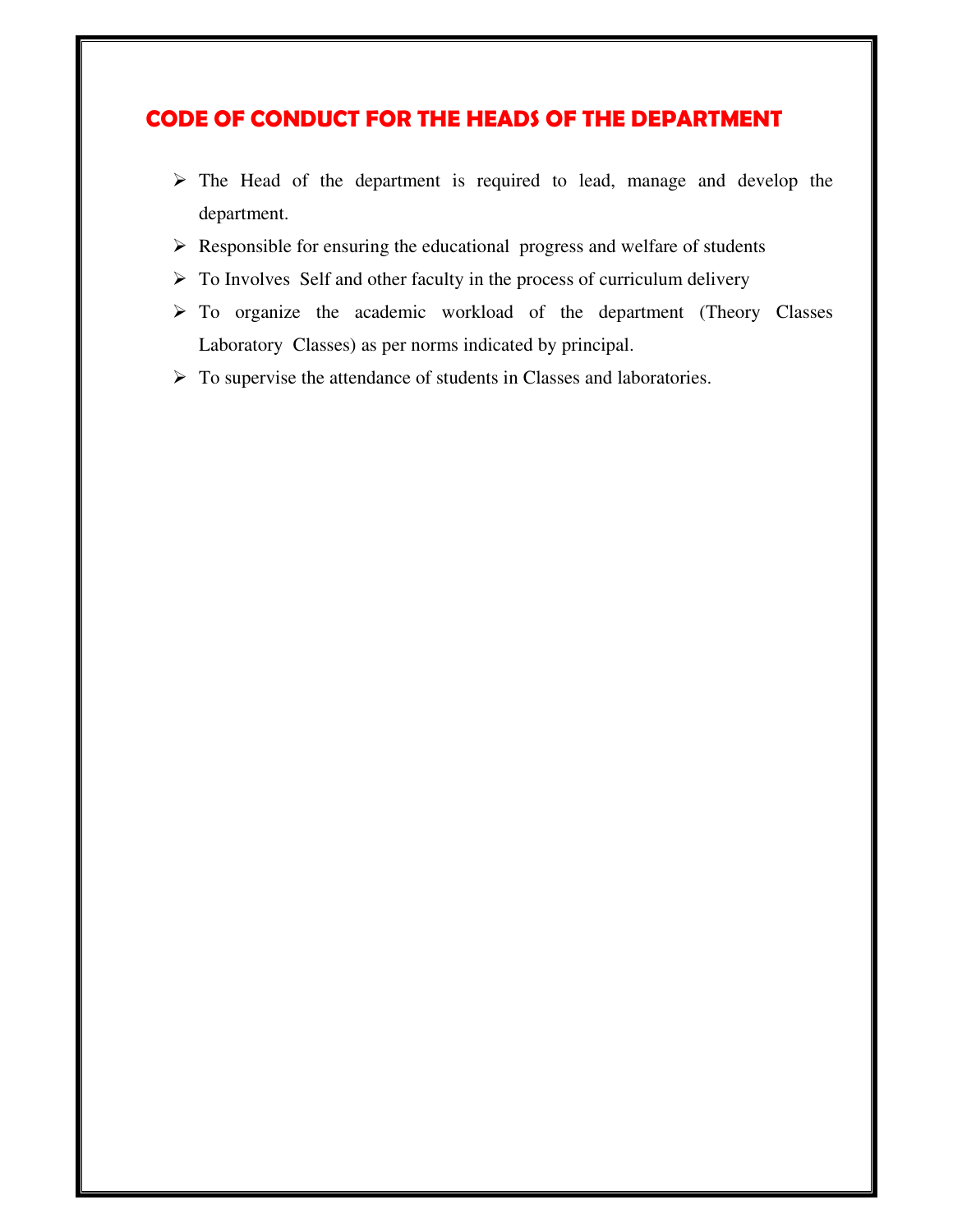#### **CODE OF CONDUCT FOR THE HEADS OF THE DEPARTMENT**

- $\triangleright$  The Head of the department is required to lead, manage and develop the department.
- Responsible for ensuring the educational progress and welfare of students
- > To Involves Self and other faculty in the process of curriculum delivery
- > To organize the academic workload of the department (Theory Classes Laboratory Classes) as per norms indicated by principal.
- > To supervise the attendance of students in Classes and laboratories.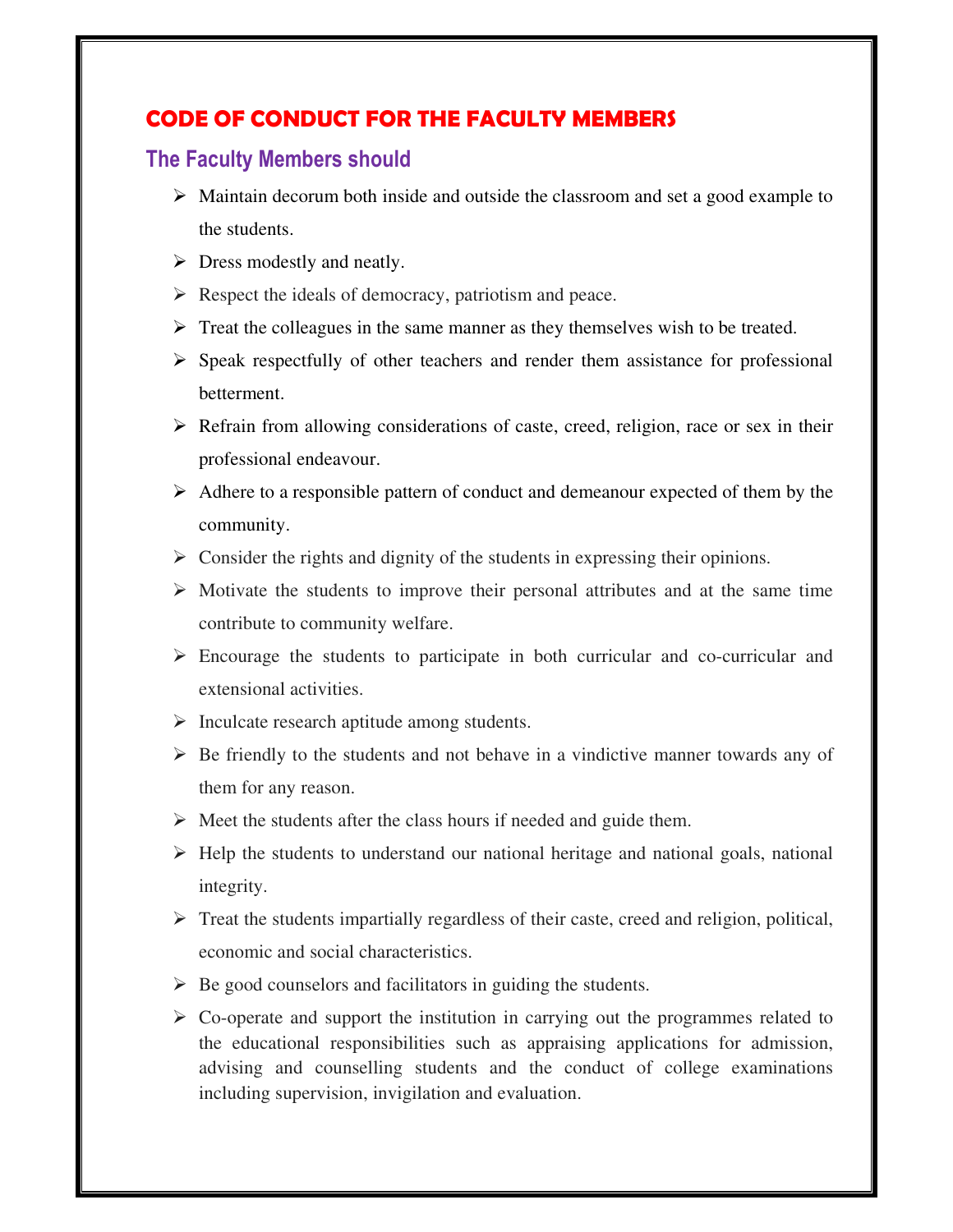#### **CODE OF CONDUCT FOR THE FACULTY MEMBERS**

#### **The Faculty Members should**

- > Maintain decorum both inside and outside the classroom and set a good example to the students.
- > Dress modestly and neatly.
- Respect the ideals of democracy, patriotism and peace.
- > Treat the colleagues in the same manner as they themselves wish to be treated.
- Speak respectfully of other teachers and render them assistance for professional betterment.
- > Refrain from allowing considerations of caste, creed, religion, race or sex in their professional endeavour.
- Adhere to a responsible pattern of conduct and demeanour expected of them by the community.
- $\triangleright$  Consider the rights and dignity of the students in expressing their opinions.
- $\triangleright$  Motivate the students to improve their personal attributes and at the same time contribute to community welfare.
- Encourage the students to participate in both curricular and co-curricular and extensional activities.
- Inculcate research aptitude among students.
- $\triangleright$  Be friendly to the students and not behave in a vindictive manner towards any of them for any reason.
- > Meet the students after the class hours if needed and guide them.
- > Help the students to understand our national heritage and national goals, national integrity.
- > Treat the students impartially regardless of their caste, creed and religion, political, economic and social characteristics.
- $\triangleright$  Be good counselors and facilitators in guiding the students.
- $\triangleright$  Co-operate and support the institution in carrying out the programmes related to the educational responsibilities such as appraising applications for admission, advising and counselling students and the conduct of college examinations including supervision, invigilation and evaluation.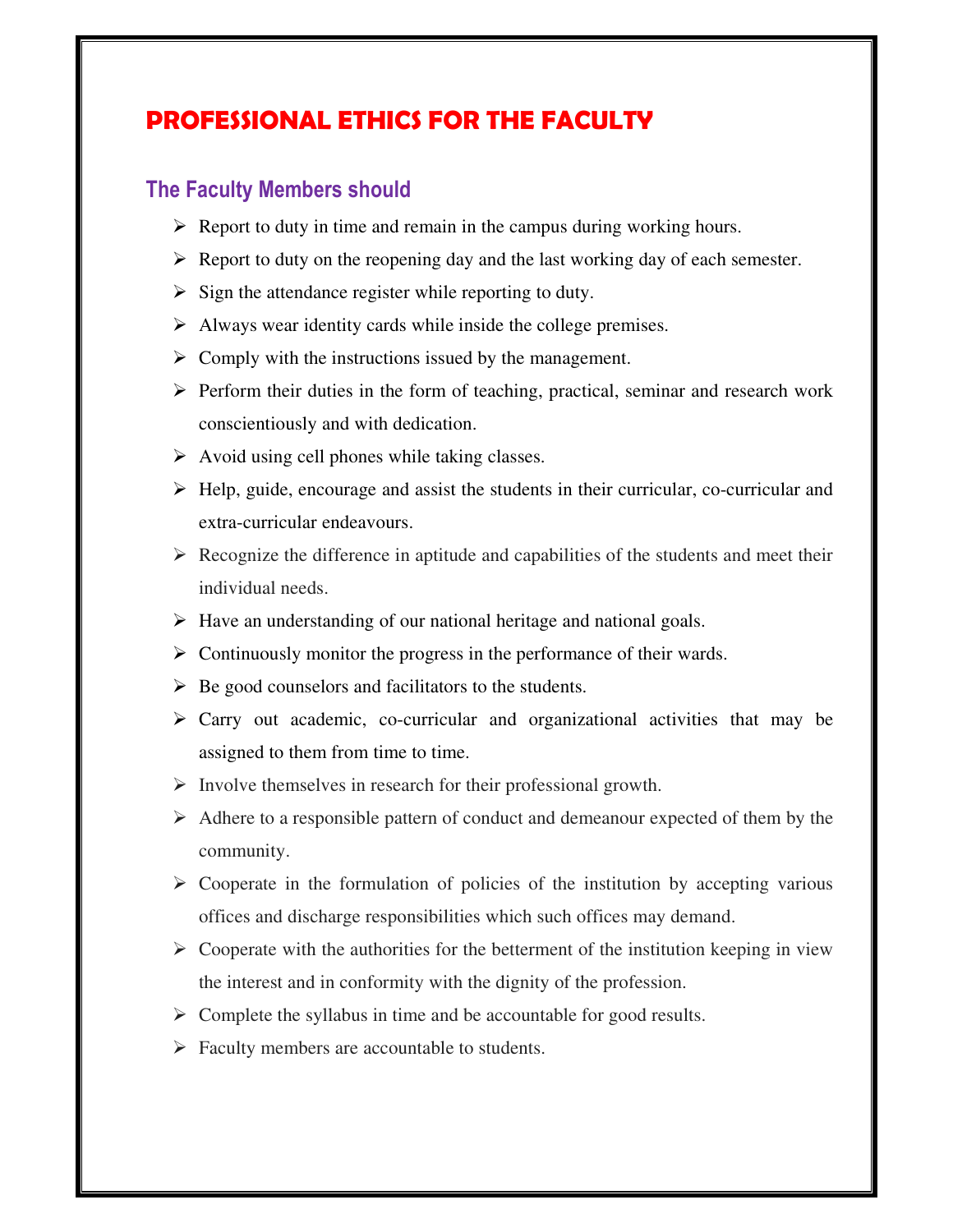### **PROFESSIONAL ETHICS FOR THE FACULTY**

#### **The Faculty Members should**

- $\triangleright$  Report to duty in time and remain in the campus during working hours.
- > Report to duty on the reopening day and the last working day of each semester.
- $\triangleright$  Sign the attendance register while reporting to duty.
- > Always wear identity cards while inside the college premises.
- $\triangleright$  Comply with the instructions issued by the management.
- > Perform their duties in the form of teaching, practical, seminar and research work conscientiously and with dedication.
- $\triangleright$  Avoid using cell phones while taking classes.
- > Help, guide, encourage and assist the students in their curricular, co-curricular and extra-curricular endeavours.
- $\triangleright$  Recognize the difference in aptitude and capabilities of the students and meet their individual needs.
- > Have an understanding of our national heritage and national goals.
- > Continuously monitor the progress in the performance of their wards.
- ▶ Be good counselors and facilitators to the students.
- Carry out academic, co-curricular and organizational activities that may be assigned to them from time to time.
- > Involve themselves in research for their professional growth.
- Adhere to a responsible pattern of conduct and demeanour expected of them by the community.
- $\triangleright$  Cooperate in the formulation of policies of the institution by accepting various offices and discharge responsibilities which such offices may demand.
- $\triangleright$  Cooperate with the authorities for the betterment of the institution keeping in view the interest and in conformity with the dignity of the profession.
- > Complete the syllabus in time and be accountable for good results.
- Faculty members are accountable to students.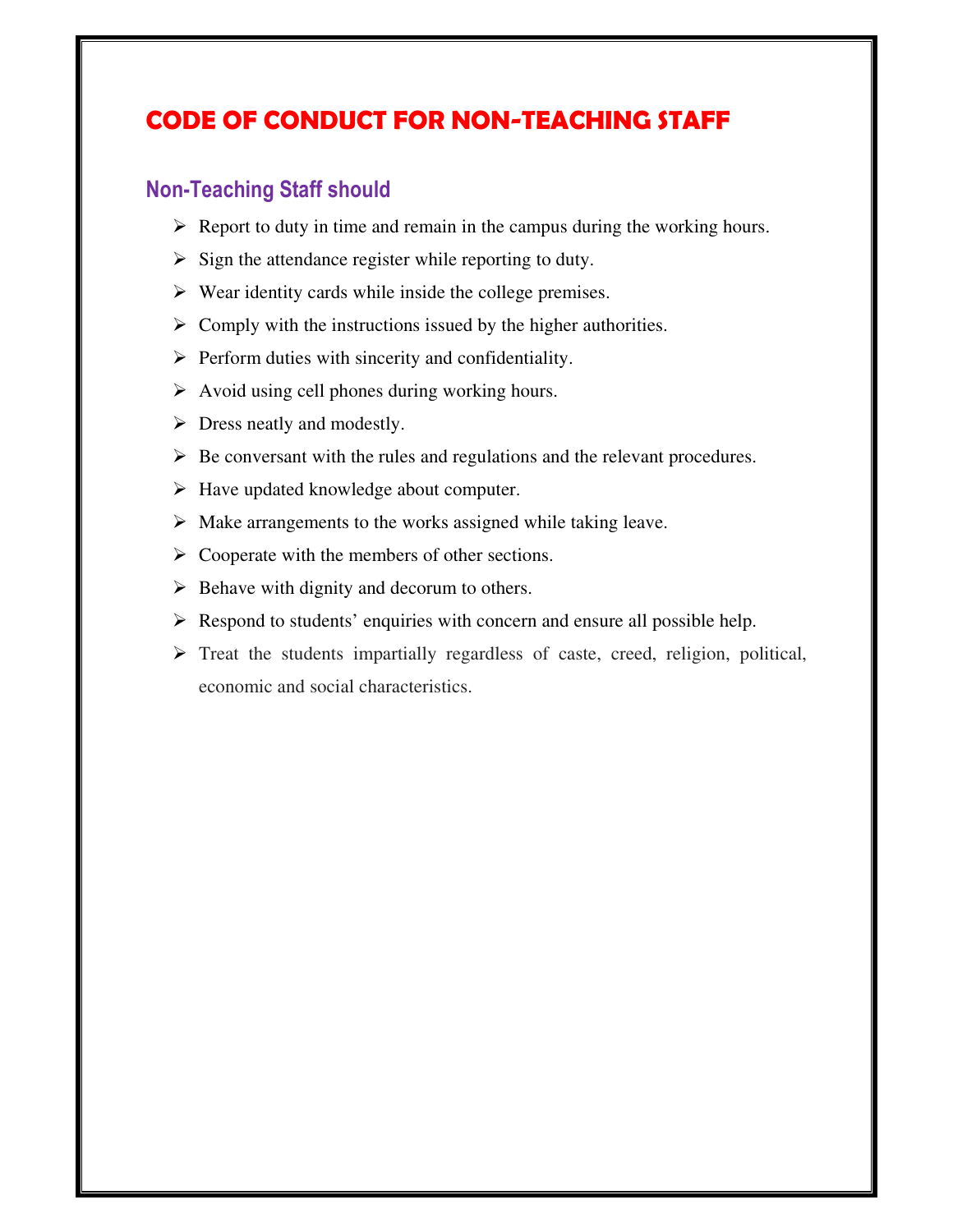### **CODE OF CONDUCT FOR NON-TEACHING STAFF**

#### **Non-Teaching Staff should**

- $\triangleright$  Report to duty in time and remain in the campus during the working hours.
- $\triangleright$  Sign the attendance register while reporting to duty.
- $\triangleright$  Wear identity cards while inside the college premises.
- $\triangleright$  Comply with the instructions issued by the higher authorities.
- > Perform duties with sincerity and confidentiality.
- $\triangleright$  Avoid using cell phones during working hours.
- > Dress neatly and modestly.
- $\triangleright$  Be conversant with the rules and regulations and the relevant procedures.
- > Have updated knowledge about computer.
- > Make arrangements to the works assigned while taking leave.
- > Cooperate with the members of other sections.
- $\triangleright$  Behave with dignity and decorum to others.
- Respond to students' enquiries with concern and ensure all possible help.
- > Treat the students impartially regardless of caste, creed, religion, political, economic and social characteristics.